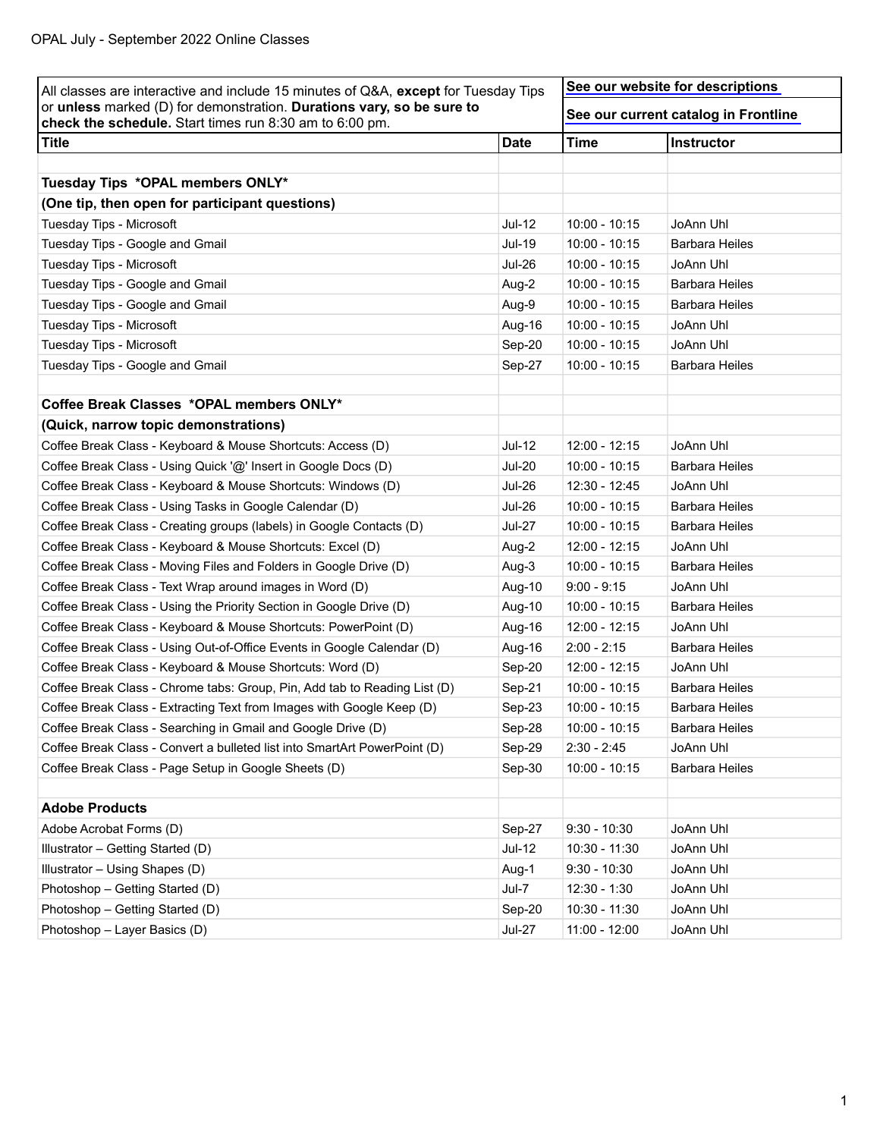| All classes are interactive and include 15 minutes of Q&A, except for Tuesday Tips                                               |               | See our website for descriptions     |                       |  |
|----------------------------------------------------------------------------------------------------------------------------------|---------------|--------------------------------------|-----------------------|--|
| or unless marked (D) for demonstration. Durations vary, so be sure to<br>check the schedule. Start times run 8:30 am to 6:00 pm. |               | See our current catalog in Frontline |                       |  |
| <b>Title</b>                                                                                                                     | <b>Date</b>   | <b>Time</b>                          | Instructor            |  |
|                                                                                                                                  |               |                                      |                       |  |
| Tuesday Tips *OPAL members ONLY*                                                                                                 |               |                                      |                       |  |
| (One tip, then open for participant questions)                                                                                   |               |                                      |                       |  |
| Tuesday Tips - Microsoft                                                                                                         | Jul-12        | $10:00 - 10:15$                      | JoAnn Uhl             |  |
| Tuesday Tips - Google and Gmail                                                                                                  | <b>Jul-19</b> | $10:00 - 10:15$                      | <b>Barbara Heiles</b> |  |
| Tuesday Tips - Microsoft                                                                                                         | <b>Jul-26</b> | $10:00 - 10:15$                      | JoAnn Uhl             |  |
| Tuesday Tips - Google and Gmail                                                                                                  | Aug-2         | $10:00 - 10:15$                      | <b>Barbara Heiles</b> |  |
| Tuesday Tips - Google and Gmail                                                                                                  | Aug-9         | $10:00 - 10:15$                      | <b>Barbara Heiles</b> |  |
| Tuesday Tips - Microsoft                                                                                                         | Aug-16        | $10:00 - 10:15$                      | JoAnn Uhl             |  |
| Tuesday Tips - Microsoft                                                                                                         | Sep-20        | $10:00 - 10:15$                      | JoAnn Uhl             |  |
| Tuesday Tips - Google and Gmail                                                                                                  | Sep-27        | $10:00 - 10:15$                      | <b>Barbara Heiles</b> |  |
|                                                                                                                                  |               |                                      |                       |  |
| Coffee Break Classes *OPAL members ONLY*                                                                                         |               |                                      |                       |  |
| (Quick, narrow topic demonstrations)                                                                                             |               |                                      |                       |  |
| Coffee Break Class - Keyboard & Mouse Shortcuts: Access (D)                                                                      | <b>Jul-12</b> | $12:00 - 12:15$                      | JoAnn Uhl             |  |
| Coffee Break Class - Using Quick '@' Insert in Google Docs (D)                                                                   | <b>Jul-20</b> | $10:00 - 10:15$                      | <b>Barbara Heiles</b> |  |
| Coffee Break Class - Keyboard & Mouse Shortcuts: Windows (D)                                                                     | <b>Jul-26</b> | $12:30 - 12:45$                      | JoAnn Uhl             |  |
| Coffee Break Class - Using Tasks in Google Calendar (D)                                                                          | <b>Jul-26</b> | $10:00 - 10:15$                      | <b>Barbara Heiles</b> |  |
| Coffee Break Class - Creating groups (labels) in Google Contacts (D)                                                             | <b>Jul-27</b> | $10:00 - 10:15$                      | <b>Barbara Heiles</b> |  |
| Coffee Break Class - Keyboard & Mouse Shortcuts: Excel (D)                                                                       | Aug-2         | 12:00 - 12:15                        | JoAnn Uhl             |  |
| Coffee Break Class - Moving Files and Folders in Google Drive (D)                                                                | Aug-3         | $10:00 - 10:15$                      | <b>Barbara Heiles</b> |  |
| Coffee Break Class - Text Wrap around images in Word (D)                                                                         | Aug-10        | $9:00 - 9:15$                        | JoAnn Uhl             |  |
| Coffee Break Class - Using the Priority Section in Google Drive (D)                                                              | Aug-10        | $10:00 - 10:15$                      | <b>Barbara Heiles</b> |  |
| Coffee Break Class - Keyboard & Mouse Shortcuts: PowerPoint (D)                                                                  | Aug-16        | 12:00 - 12:15                        | JoAnn Uhl             |  |
| Coffee Break Class - Using Out-of-Office Events in Google Calendar (D)                                                           | Aug-16        | $2:00 - 2:15$                        | <b>Barbara Heiles</b> |  |
| Coffee Break Class - Keyboard & Mouse Shortcuts: Word (D)                                                                        | Sep-20        | 12:00 - 12:15                        | JoAnn Uhl             |  |
| Coffee Break Class - Chrome tabs: Group, Pin, Add tab to Reading List (D)                                                        | Sep-21        | $10:00 - 10:15$                      | <b>Barbara Heiles</b> |  |
| Coffee Break Class - Extracting Text from Images with Google Keep (D)                                                            | Sep-23        | $10:00 - 10:15$                      | <b>Barbara Heiles</b> |  |
| Coffee Break Class - Searching in Gmail and Google Drive (D)                                                                     | Sep-28        | $10:00 - 10:15$                      | <b>Barbara Heiles</b> |  |
| Coffee Break Class - Convert a bulleted list into SmartArt PowerPoint (D)                                                        | Sep-29        | $2:30 - 2:45$                        | JoAnn Uhl             |  |
| Coffee Break Class - Page Setup in Google Sheets (D)                                                                             | Sep-30        | $10:00 - 10:15$                      | <b>Barbara Heiles</b> |  |
|                                                                                                                                  |               |                                      |                       |  |
| <b>Adobe Products</b>                                                                                                            |               |                                      |                       |  |
| Adobe Acrobat Forms (D)                                                                                                          | Sep-27        | $9:30 - 10:30$                       | JoAnn Uhl             |  |
| Illustrator - Getting Started (D)                                                                                                | $Jul-12$      | 10:30 - 11:30                        | JoAnn Uhl             |  |
| Illustrator - Using Shapes (D)                                                                                                   | Aug-1         | $9:30 - 10:30$                       | JoAnn Uhl             |  |
| Photoshop - Getting Started (D)                                                                                                  | Jul-7         | $12:30 - 1:30$                       | JoAnn Uhl             |  |
| Photoshop - Getting Started (D)                                                                                                  | Sep-20        | 10:30 - 11:30                        | JoAnn Uhl             |  |
| Photoshop - Layer Basics (D)                                                                                                     | <b>Jul-27</b> | 11:00 - 12:00                        | JoAnn Uhl             |  |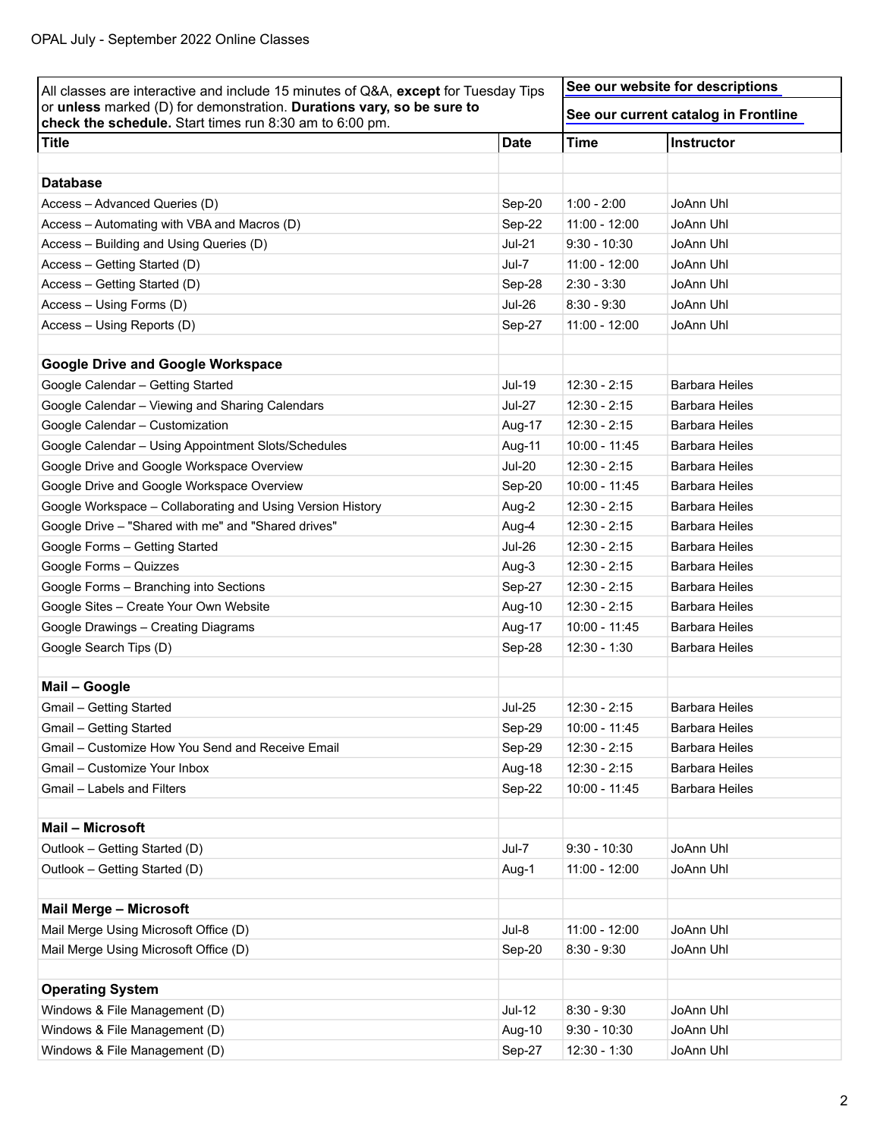| All classes are interactive and include 15 minutes of Q&A, except for Tuesday Tips<br>or unless marked (D) for demonstration. Durations vary, so be sure to<br>check the schedule. Start times run 8:30 am to 6:00 pm. |                  | See our website for descriptions     |                       |
|------------------------------------------------------------------------------------------------------------------------------------------------------------------------------------------------------------------------|------------------|--------------------------------------|-----------------------|
|                                                                                                                                                                                                                        |                  | See our current catalog in Frontline |                       |
| <b>Title</b>                                                                                                                                                                                                           | <b>Date</b>      | <b>Time</b>                          | Instructor            |
| <b>Database</b>                                                                                                                                                                                                        |                  |                                      |                       |
|                                                                                                                                                                                                                        |                  | $1:00 - 2:00$                        | JoAnn Uhl             |
| Access - Advanced Queries (D)<br>Access - Automating with VBA and Macros (D)                                                                                                                                           | Sep-20<br>Sep-22 | $11:00 - 12:00$                      | JoAnn Uhl             |
| Access - Building and Using Queries (D)                                                                                                                                                                                | $Jul-21$         | $9:30 - 10:30$                       | JoAnn Uhl             |
| Access - Getting Started (D)                                                                                                                                                                                           | Jul-7            | $11:00 - 12:00$                      | JoAnn Uhl             |
| Access - Getting Started (D)                                                                                                                                                                                           | Sep-28           | $2:30 - 3:30$                        | JoAnn Uhl             |
|                                                                                                                                                                                                                        | <b>Jul-26</b>    | $8:30 - 9:30$                        | JoAnn Uhl             |
| Access - Using Forms (D)                                                                                                                                                                                               |                  |                                      | JoAnn Uhl             |
| Access - Using Reports (D)                                                                                                                                                                                             | Sep-27           | $11:00 - 12:00$                      |                       |
| <b>Google Drive and Google Workspace</b>                                                                                                                                                                               |                  |                                      |                       |
| Google Calendar - Getting Started                                                                                                                                                                                      | <b>Jul-19</b>    | $12:30 - 2:15$                       | Barbara Heiles        |
| Google Calendar - Viewing and Sharing Calendars                                                                                                                                                                        | <b>Jul-27</b>    | $12:30 - 2:15$                       | Barbara Heiles        |
| Google Calendar - Customization                                                                                                                                                                                        | Aug-17           | $12:30 - 2:15$                       | <b>Barbara Heiles</b> |
| Google Calendar - Using Appointment Slots/Schedules                                                                                                                                                                    | Aug-11           | 10:00 - 11:45                        | Barbara Heiles        |
| Google Drive and Google Workspace Overview                                                                                                                                                                             | <b>Jul-20</b>    | $12:30 - 2:15$                       | Barbara Heiles        |
| Google Drive and Google Workspace Overview                                                                                                                                                                             | Sep-20           | 10:00 - 11:45                        | <b>Barbara Heiles</b> |
| Google Workspace - Collaborating and Using Version History                                                                                                                                                             | Aug-2            | $12:30 - 2:15$                       | Barbara Heiles        |
| Google Drive - "Shared with me" and "Shared drives"                                                                                                                                                                    | Aug-4            | $12:30 - 2:15$                       | <b>Barbara Heiles</b> |
| Google Forms - Getting Started                                                                                                                                                                                         | <b>Jul-26</b>    | $12:30 - 2:15$                       | <b>Barbara Heiles</b> |
| Google Forms - Quizzes                                                                                                                                                                                                 | Aug-3            | $12:30 - 2:15$                       | Barbara Heiles        |
| Google Forms - Branching into Sections                                                                                                                                                                                 | Sep-27           | $12:30 - 2:15$                       | Barbara Heiles        |
| Google Sites - Create Your Own Website                                                                                                                                                                                 | Aug-10           | $12:30 - 2:15$                       | <b>Barbara Heiles</b> |
| Google Drawings - Creating Diagrams                                                                                                                                                                                    | Aug-17           | 10:00 - 11:45                        | Barbara Heiles        |
| Google Search Tips (D)                                                                                                                                                                                                 | Sep-28           | $12:30 - 1:30$                       | <b>Barbara Heiles</b> |
|                                                                                                                                                                                                                        |                  |                                      |                       |
| Mail - Google                                                                                                                                                                                                          |                  |                                      |                       |
| Gmail - Getting Started                                                                                                                                                                                                | <b>Jul-25</b>    | $12:30 - 2:15$                       | <b>Barbara Heiles</b> |
| Gmail - Getting Started                                                                                                                                                                                                | Sep-29           | 10:00 - 11:45                        | <b>Barbara Heiles</b> |
| Gmail - Customize How You Send and Receive Email                                                                                                                                                                       | Sep-29           | $12:30 - 2:15$                       | <b>Barbara Heiles</b> |
| Gmail - Customize Your Inbox                                                                                                                                                                                           | Aug-18           | 12:30 - 2:15                         | <b>Barbara Heiles</b> |
| Gmail - Labels and Filters                                                                                                                                                                                             | Sep-22           | 10:00 - 11:45                        | <b>Barbara Heiles</b> |
| Mail - Microsoft                                                                                                                                                                                                       |                  |                                      |                       |
| Outlook - Getting Started (D)                                                                                                                                                                                          | Jul-7            | $9:30 - 10:30$                       | JoAnn Uhl             |
| Outlook - Getting Started (D)                                                                                                                                                                                          | Aug-1            | $11:00 - 12:00$                      | JoAnn Uhl             |
|                                                                                                                                                                                                                        |                  |                                      |                       |
| <b>Mail Merge - Microsoft</b>                                                                                                                                                                                          |                  |                                      |                       |
| Mail Merge Using Microsoft Office (D)                                                                                                                                                                                  | $Jul-8$          | $11:00 - 12:00$                      | JoAnn Uhl             |
| Mail Merge Using Microsoft Office (D)                                                                                                                                                                                  | Sep-20           | $8:30 - 9:30$                        | JoAnn Uhl             |
| <b>Operating System</b>                                                                                                                                                                                                |                  |                                      |                       |
| Windows & File Management (D)                                                                                                                                                                                          | <b>Jul-12</b>    | $8:30 - 9:30$                        | JoAnn Uhl             |
| Windows & File Management (D)                                                                                                                                                                                          | Aug-10           | $9:30 - 10:30$                       | JoAnn Uhl             |
| Windows & File Management (D)                                                                                                                                                                                          | Sep-27           | 12:30 - 1:30                         | JoAnn Uhl             |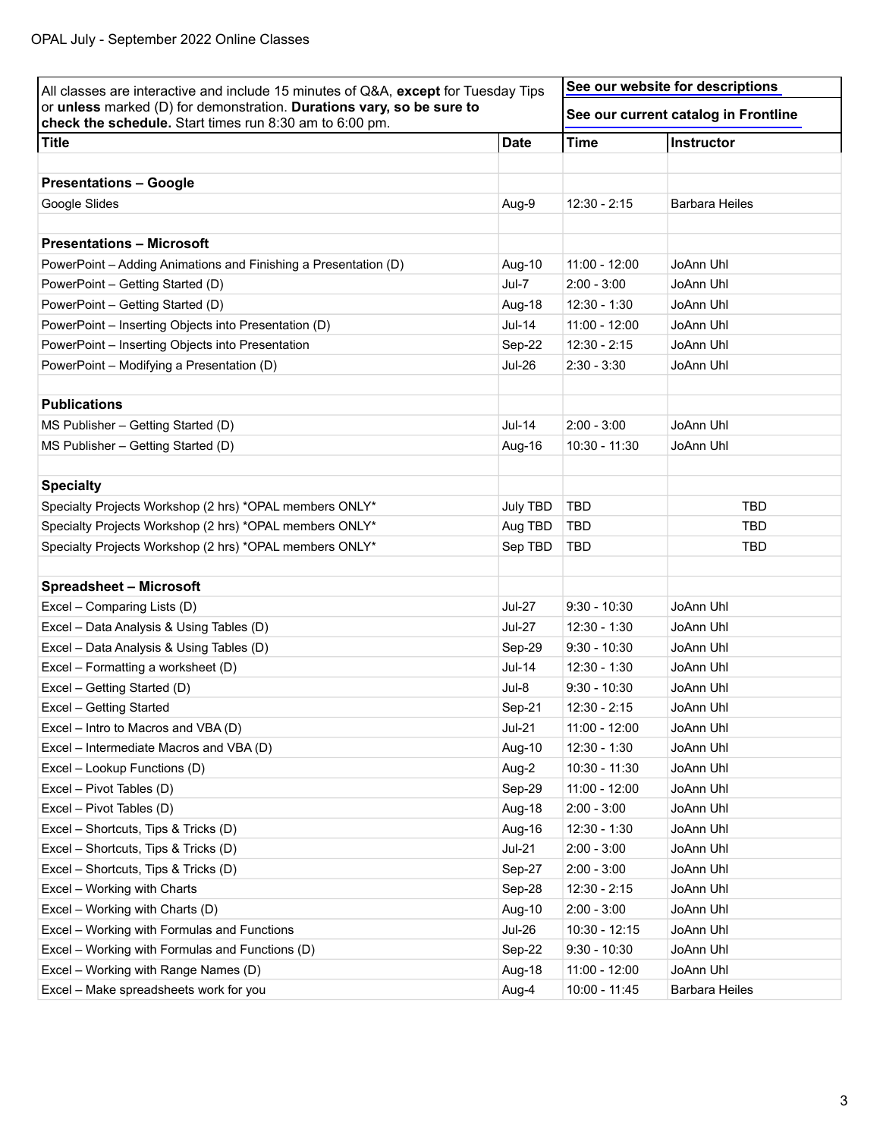| All classes are interactive and include 15 minutes of Q&A, except for Tuesday Tips                                               |                 | See our website for descriptions     |                       |
|----------------------------------------------------------------------------------------------------------------------------------|-----------------|--------------------------------------|-----------------------|
| or unless marked (D) for demonstration. Durations vary, so be sure to<br>check the schedule. Start times run 8:30 am to 6:00 pm. |                 | See our current catalog in Frontline |                       |
| <b>Title</b>                                                                                                                     | <b>Date</b>     | <b>Time</b>                          | Instructor            |
| <b>Presentations - Google</b>                                                                                                    |                 |                                      |                       |
| Google Slides                                                                                                                    | Aug-9           | $12:30 - 2:15$                       | <b>Barbara Heiles</b> |
| <b>Presentations - Microsoft</b>                                                                                                 |                 |                                      |                       |
| PowerPoint - Adding Animations and Finishing a Presentation (D)                                                                  | Aug-10          | 11:00 - 12:00                        | JoAnn Uhl             |
| PowerPoint - Getting Started (D)                                                                                                 | Jul-7           | $2:00 - 3:00$                        | JoAnn Uhl             |
| PowerPoint - Getting Started (D)                                                                                                 | Aug-18          | 12:30 - 1:30                         | JoAnn Uhl             |
| PowerPoint - Inserting Objects into Presentation (D)                                                                             | <b>Jul-14</b>   | $11:00 - 12:00$                      | JoAnn Uhl             |
| PowerPoint - Inserting Objects into Presentation                                                                                 | Sep-22          | $12:30 - 2:15$                       | JoAnn Uhl             |
| PowerPoint - Modifying a Presentation (D)                                                                                        | <b>Jul-26</b>   | $2:30 - 3:30$                        | JoAnn Uhl             |
| <b>Publications</b>                                                                                                              |                 |                                      |                       |
| MS Publisher - Getting Started (D)                                                                                               | <b>Jul-14</b>   | $2:00 - 3:00$                        | JoAnn Uhl             |
| MS Publisher - Getting Started (D)                                                                                               | Aug-16          | $10:30 - 11:30$                      | JoAnn Uhl             |
|                                                                                                                                  |                 |                                      |                       |
| <b>Specialty</b>                                                                                                                 |                 |                                      |                       |
| Specialty Projects Workshop (2 hrs) *OPAL members ONLY*                                                                          | <b>July TBD</b> | <b>TBD</b>                           | <b>TBD</b>            |
| Specialty Projects Workshop (2 hrs) *OPAL members ONLY*                                                                          | Aug TBD         | <b>TBD</b>                           | <b>TBD</b>            |
| Specialty Projects Workshop (2 hrs) *OPAL members ONLY*                                                                          | Sep TBD         | <b>TBD</b>                           | <b>TBD</b>            |
|                                                                                                                                  |                 |                                      |                       |
| <b>Spreadsheet - Microsoft</b>                                                                                                   |                 |                                      |                       |
| Excel - Comparing Lists (D)                                                                                                      | <b>Jul-27</b>   | $9:30 - 10:30$                       | JoAnn Uhl             |
| Excel - Data Analysis & Using Tables (D)                                                                                         | <b>Jul-27</b>   | $12:30 - 1:30$                       | JoAnn Uhl             |
| Excel - Data Analysis & Using Tables (D)                                                                                         | Sep-29          | $9:30 - 10:30$                       | JoAnn Uhl             |
| Excel - Formatting a worksheet (D)                                                                                               | <b>Jul-14</b>   | $12:30 - 1:30$                       | JoAnn Uhl             |
| Excel - Getting Started (D)                                                                                                      | Jul-8           | $9:30 - 10:30$                       | JoAnn Uhl             |
| Excel - Getting Started                                                                                                          | Sep-21          | $12:30 - 2:15$                       | JoAnn Uhl             |
| Excel - Intro to Macros and VBA (D)                                                                                              | <b>Jul-21</b>   | $11:00 - 12:00$                      | JoAnn Uhl             |
| Excel - Intermediate Macros and VBA (D)                                                                                          | Aug-10          | 12:30 - 1:30                         | JoAnn Uhl             |
| Excel - Lookup Functions (D)                                                                                                     | Aug-2           | 10:30 - 11:30                        | JoAnn Uhl             |
| Excel - Pivot Tables (D)                                                                                                         | Sep-29          | $11:00 - 12:00$                      | JoAnn Uhl             |
| Excel - Pivot Tables (D)                                                                                                         | Aug-18          | $2:00 - 3:00$                        | JoAnn Uhl             |
| Excel - Shortcuts, Tips & Tricks (D)                                                                                             | Aug-16          | $12:30 - 1:30$                       | JoAnn Uhl             |
| Excel - Shortcuts, Tips & Tricks (D)                                                                                             | $Jul-21$        | $2:00 - 3:00$                        | JoAnn Uhl             |
| Excel - Shortcuts, Tips & Tricks (D)                                                                                             | Sep-27          | $2:00 - 3:00$                        | JoAnn Uhl             |
| Excel - Working with Charts                                                                                                      | Sep-28          | 12:30 - 2:15                         | JoAnn Uhl             |
| Excel - Working with Charts (D)                                                                                                  | Aug-10          | $2:00 - 3:00$                        | JoAnn Uhl             |
| Excel - Working with Formulas and Functions                                                                                      | <b>Jul-26</b>   | 10:30 - 12:15                        | JoAnn Uhl             |
| Excel - Working with Formulas and Functions (D)                                                                                  | Sep-22          | $9:30 - 10:30$                       | JoAnn Uhl             |
| Excel - Working with Range Names (D)                                                                                             | Aug-18          | $11:00 - 12:00$                      | JoAnn Uhl             |
| Excel - Make spreadsheets work for you                                                                                           | Aug-4           | 10:00 - 11:45                        | <b>Barbara Heiles</b> |